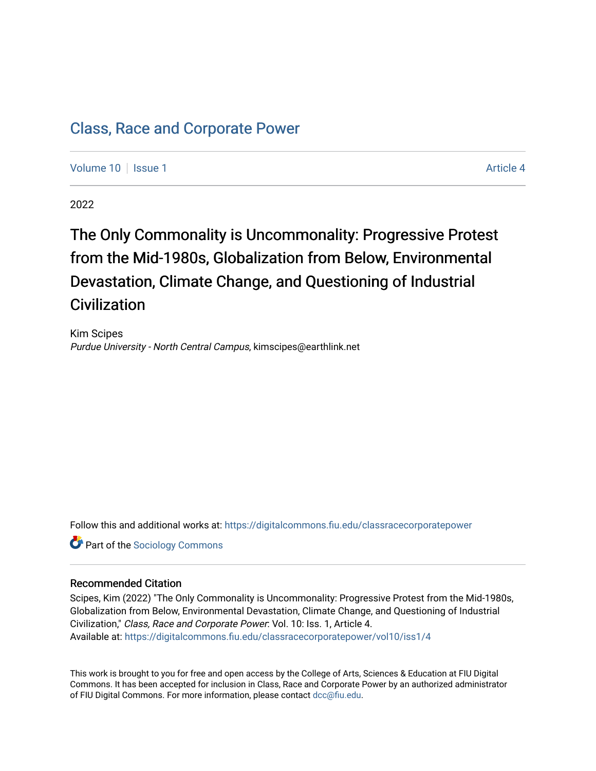# [Class, Race and Corporate Power](https://digitalcommons.fiu.edu/classracecorporatepower)

[Volume 10](https://digitalcommons.fiu.edu/classracecorporatepower/vol10) | [Issue 1](https://digitalcommons.fiu.edu/classracecorporatepower/vol10/iss1) Article 4

2022

# The Only Commonality is Uncommonality: Progressive Protest from the Mid-1980s, Globalization from Below, Environmental Devastation, Climate Change, and Questioning of Industrial **Civilization**

Kim Scipes Purdue University - North Central Campus, kimscipes@earthlink.net

Follow this and additional works at: [https://digitalcommons.fiu.edu/classracecorporatepower](https://digitalcommons.fiu.edu/classracecorporatepower?utm_source=digitalcommons.fiu.edu%2Fclassracecorporatepower%2Fvol10%2Fiss1%2F4&utm_medium=PDF&utm_campaign=PDFCoverPages)

**Part of the [Sociology Commons](https://network.bepress.com/hgg/discipline/416?utm_source=digitalcommons.fiu.edu%2Fclassracecorporatepower%2Fvol10%2Fiss1%2F4&utm_medium=PDF&utm_campaign=PDFCoverPages)** 

#### Recommended Citation

Scipes, Kim (2022) "The Only Commonality is Uncommonality: Progressive Protest from the Mid-1980s, Globalization from Below, Environmental Devastation, Climate Change, and Questioning of Industrial Civilization," Class, Race and Corporate Power: Vol. 10: Iss. 1, Article 4. Available at: [https://digitalcommons.fiu.edu/classracecorporatepower/vol10/iss1/4](https://digitalcommons.fiu.edu/classracecorporatepower/vol10/iss1/4?utm_source=digitalcommons.fiu.edu%2Fclassracecorporatepower%2Fvol10%2Fiss1%2F4&utm_medium=PDF&utm_campaign=PDFCoverPages) 

This work is brought to you for free and open access by the College of Arts, Sciences & Education at FIU Digital Commons. It has been accepted for inclusion in Class, Race and Corporate Power by an authorized administrator of FIU Digital Commons. For more information, please contact [dcc@fiu.edu](mailto:dcc@fiu.edu).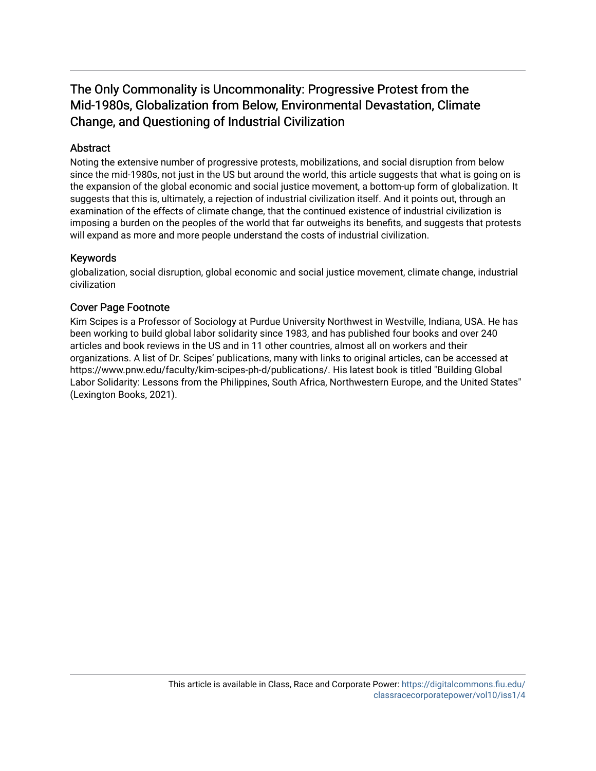## The Only Commonality is Uncommonality: Progressive Protest from the Mid-1980s, Globalization from Below, Environmental Devastation, Climate Change, and Questioning of Industrial Civilization

## **Abstract**

Noting the extensive number of progressive protests, mobilizations, and social disruption from below since the mid-1980s, not just in the US but around the world, this article suggests that what is going on is the expansion of the global economic and social justice movement, a bottom-up form of globalization. It suggests that this is, ultimately, a rejection of industrial civilization itself. And it points out, through an examination of the effects of climate change, that the continued existence of industrial civilization is imposing a burden on the peoples of the world that far outweighs its benefits, and suggests that protests will expand as more and more people understand the costs of industrial civilization.

#### Keywords

globalization, social disruption, global economic and social justice movement, climate change, industrial civilization

## Cover Page Footnote

Kim Scipes is a Professor of Sociology at Purdue University Northwest in Westville, Indiana, USA. He has been working to build global labor solidarity since 1983, and has published four books and over 240 articles and book reviews in the US and in 11 other countries, almost all on workers and their organizations. A list of Dr. Scipes' publications, many with links to original articles, can be accessed at https://www.pnw.edu/faculty/kim-scipes-ph-d/publications/. His latest book is titled "Building Global Labor Solidarity: Lessons from the Philippines, South Africa, Northwestern Europe, and the United States" (Lexington Books, 2021).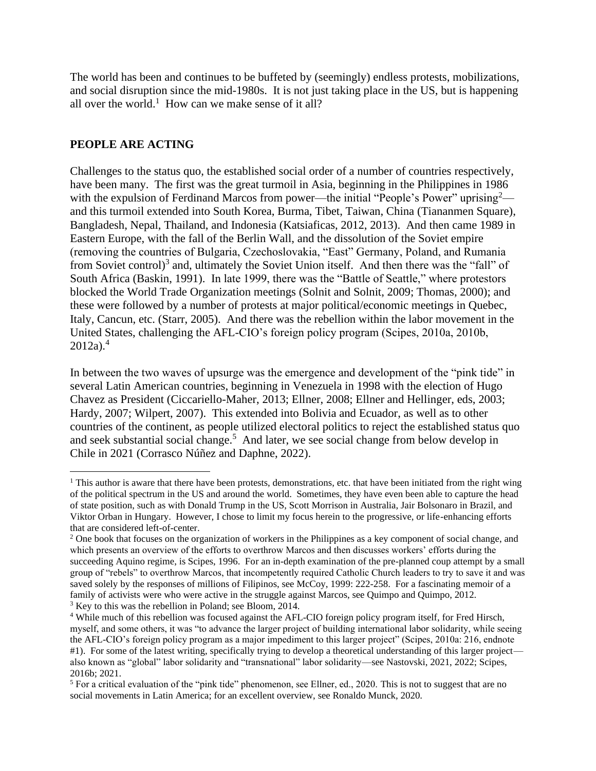The world has been and continues to be buffeted by (seemingly) endless protests, mobilizations, and social disruption since the mid-1980s. It is not just taking place in the US, but is happening all over the world.<sup>1</sup> How can we make sense of it all?

## **PEOPLE ARE ACTING**

Challenges to the status quo, the established social order of a number of countries respectively, have been many. The first was the great turmoil in Asia, beginning in the Philippines in 1986 with the expulsion of Ferdinand Marcos from power—the initial "People's Power" uprising<sup>2</sup> and this turmoil extended into South Korea, Burma, Tibet, Taiwan, China (Tiananmen Square), Bangladesh, Nepal, Thailand, and Indonesia (Katsiaficas, 2012, 2013). And then came 1989 in Eastern Europe, with the fall of the Berlin Wall, and the dissolution of the Soviet empire (removing the countries of Bulgaria, Czechoslovakia, "East" Germany, Poland, and Rumania from Soviet control)<sup>3</sup> and, ultimately the Soviet Union itself. And then there was the "fall" of South Africa (Baskin, 1991). In late 1999, there was the "Battle of Seattle," where protestors blocked the World Trade Organization meetings (Solnit and Solnit, 2009; Thomas, 2000); and these were followed by a number of protests at major political/economic meetings in Quebec, Italy, Cancun, etc. (Starr, 2005). And there was the rebellion within the labor movement in the United States, challenging the AFL-CIO's foreign policy program (Scipes, 2010a, 2010b,  $2012a$ ).<sup>4</sup>

In between the two waves of upsurge was the emergence and development of the "pink tide" in several Latin American countries, beginning in Venezuela in 1998 with the election of Hugo Chavez as President (Ciccariello-Maher, 2013; Ellner, 2008; Ellner and Hellinger, eds, 2003; Hardy, 2007; Wilpert, 2007). This extended into Bolivia and Ecuador, as well as to other countries of the continent, as people utilized electoral politics to reject the established status quo and seek substantial social change.<sup>5</sup> And later, we see social change from below develop in Chile in 2021 (Corrasco Núñez and Daphne, 2022).

<sup>&</sup>lt;sup>1</sup> This author is aware that there have been protests, demonstrations, etc. that have been initiated from the right wing of the political spectrum in the US and around the world. Sometimes, they have even been able to capture the head of state position, such as with Donald Trump in the US, Scott Morrison in Australia, Jair Bolsonaro in Brazil, and Viktor Orban in Hungary. However, I chose to limit my focus herein to the progressive, or life-enhancing efforts that are considered left-of-center.

<sup>&</sup>lt;sup>2</sup> One book that focuses on the organization of workers in the Philippines as a key component of social change, and which presents an overview of the efforts to overthrow Marcos and then discusses workers' efforts during the succeeding Aquino regime, is Scipes, 1996. For an in-depth examination of the pre-planned coup attempt by a small group of "rebels" to overthrow Marcos, that incompetently required Catholic Church leaders to try to save it and was saved solely by the responses of millions of Filipinos, see McCoy, 1999: 222-258. For a fascinating memoir of a family of activists were who were active in the struggle against Marcos, see Quimpo and Quimpo, 2012. <sup>3</sup> Key to this was the rebellion in Poland; see Bloom, 2014.

<sup>4</sup> While much of this rebellion was focused against the AFL-CIO foreign policy program itself, for Fred Hirsch, myself, and some others, it was "to advance the larger project of building international labor solidarity, while seeing the AFL-CIO's foreign policy program as a major impediment to this larger project" (Scipes, 2010a: 216, endnote #1). For some of the latest writing, specifically trying to develop a theoretical understanding of this larger project also known as "global" labor solidarity and "transnational" labor solidarity—see Nastovski, 2021, 2022; Scipes, 2016b; 2021.

<sup>5</sup> For a critical evaluation of the "pink tide" phenomenon, see Ellner, ed., 2020. This is not to suggest that are no social movements in Latin America; for an excellent overview, see Ronaldo Munck, 2020.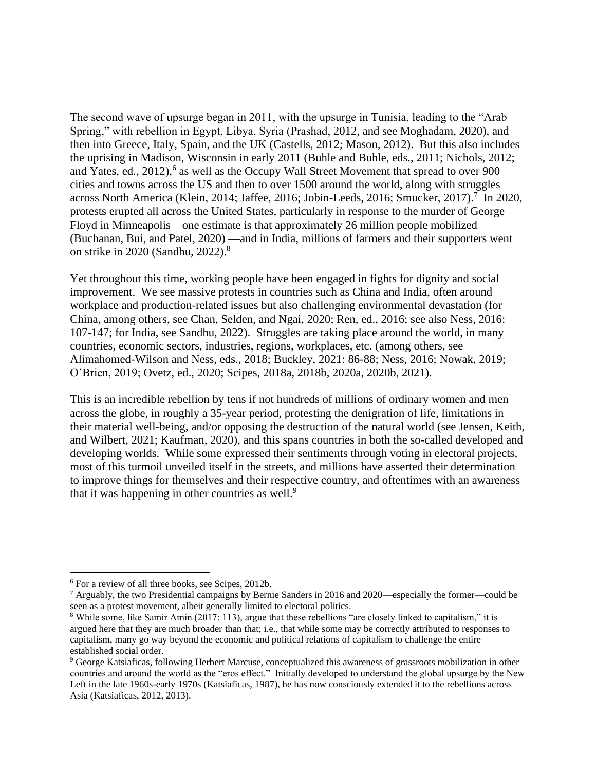The second wave of upsurge began in 2011, with the upsurge in Tunisia, leading to the "Arab Spring," with rebellion in Egypt, Libya, Syria (Prashad, 2012, and see Moghadam, 2020), and then into Greece, Italy, Spain, and the UK (Castells, 2012; Mason, 2012). But this also includes the uprising in Madison, Wisconsin in early 2011 (Buhle and Buhle, eds., 2011; Nichols, 2012; and Yates, ed., 2012),<sup>6</sup> as well as the Occupy Wall Street Movement that spread to over 900 cities and towns across the US and then to over 1500 around the world, along with struggles across North America (Klein, 2014; Jaffee, 2016; Jobin-Leeds, 2016; Smucker, 2017).<sup>7</sup> In 2020, protests erupted all across the United States, particularly in response to the murder of George Floyd in Minneapolis—one estimate is that approximately 26 million people mobilized (Buchanan, Bui, and Patel, 2020) **—**and in India, millions of farmers and their supporters went on strike in 2020 (Sandhu, 2022). 8

Yet throughout this time, working people have been engaged in fights for dignity and social improvement. We see massive protests in countries such as China and India, often around workplace and production-related issues but also challenging environmental devastation (for China, among others, see Chan, Selden, and Ngai, 2020; Ren, ed., 2016; see also Ness, 2016: 107-147; for India, see Sandhu, 2022). Struggles are taking place around the world, in many countries, economic sectors, industries, regions, workplaces, etc. (among others, see Alimahomed-Wilson and Ness, eds., 2018; Buckley, 2021: 86-88; Ness, 2016; Nowak, 2019; O'Brien, 2019; Ovetz, ed., 2020; Scipes, 2018a, 2018b, 2020a, 2020b, 2021).

This is an incredible rebellion by tens if not hundreds of millions of ordinary women and men across the globe, in roughly a 35-year period, protesting the denigration of life, limitations in their material well-being, and/or opposing the destruction of the natural world (see Jensen, Keith, and Wilbert, 2021; Kaufman, 2020), and this spans countries in both the so-called developed and developing worlds. While some expressed their sentiments through voting in electoral projects, most of this turmoil unveiled itself in the streets, and millions have asserted their determination to improve things for themselves and their respective country, and oftentimes with an awareness that it was happening in other countries as well. $9$ 

<sup>6</sup> For a review of all three books, see Scipes, 2012b.

<sup>7</sup> Arguably, the two Presidential campaigns by Bernie Sanders in 2016 and 2020—especially the former—could be seen as a protest movement, albeit generally limited to electoral politics.

<sup>&</sup>lt;sup>8</sup> While some, like Samir Amin (2017: 113), argue that these rebellions "are closely linked to capitalism," it is argued here that they are much broader than that; i.e., that while some may be correctly attributed to responses to capitalism, many go way beyond the economic and political relations of capitalism to challenge the entire established social order.

<sup>&</sup>lt;sup>9</sup> George Katsiaficas, following Herbert Marcuse, conceptualized this awareness of grassroots mobilization in other countries and around the world as the "eros effect." Initially developed to understand the global upsurge by the New Left in the late 1960s-early 1970s (Katsiaficas, 1987), he has now consciously extended it to the rebellions across Asia (Katsiaficas, 2012, 2013).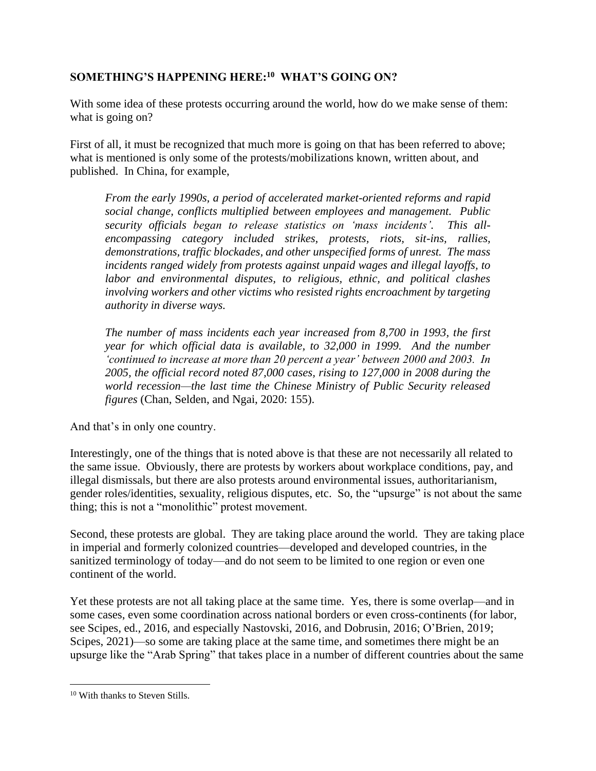## **SOMETHING'S HAPPENING HERE: 10 WHAT'S GOING ON?**

With some idea of these protests occurring around the world, how do we make sense of them: what is going on?

First of all, it must be recognized that much more is going on that has been referred to above; what is mentioned is only some of the protests/mobilizations known, written about, and published. In China, for example,

*From the early 1990s, a period of accelerated market-oriented reforms and rapid social change, conflicts multiplied between employees and management. Public security officials began to release statistics on 'mass incidents'. This allencompassing category included strikes, protests, riots, sit-ins, rallies, demonstrations, traffic blockades, and other unspecified forms of unrest. The mass incidents ranged widely from protests against unpaid wages and illegal layoffs, to labor and environmental disputes, to religious, ethnic, and political clashes involving workers and other victims who resisted rights encroachment by targeting authority in diverse ways.*

*The number of mass incidents each year increased from 8,700 in 1993, the first year for which official data is available, to 32,000 in 1999. And the number 'continued to increase at more than 20 percent a year' between 2000 and 2003. In 2005, the official record noted 87,000 cases, rising to 127,000 in 2008 during the world recession—the last time the Chinese Ministry of Public Security released figures* (Chan, Selden, and Ngai, 2020: 155).

And that's in only one country.

Interestingly, one of the things that is noted above is that these are not necessarily all related to the same issue. Obviously, there are protests by workers about workplace conditions, pay, and illegal dismissals, but there are also protests around environmental issues, authoritarianism, gender roles/identities, sexuality, religious disputes, etc. So, the "upsurge" is not about the same thing; this is not a "monolithic" protest movement.

Second, these protests are global. They are taking place around the world. They are taking place in imperial and formerly colonized countries—developed and developed countries, in the sanitized terminology of today—and do not seem to be limited to one region or even one continent of the world.

Yet these protests are not all taking place at the same time. Yes, there is some overlap—and in some cases, even some coordination across national borders or even cross-continents (for labor, see Scipes, ed., 2016, and especially Nastovski, 2016, and Dobrusin, 2016; O'Brien, 2019; Scipes, 2021)—so some are taking place at the same time, and sometimes there might be an upsurge like the "Arab Spring" that takes place in a number of different countries about the same

<sup>10</sup> With thanks to Steven Stills.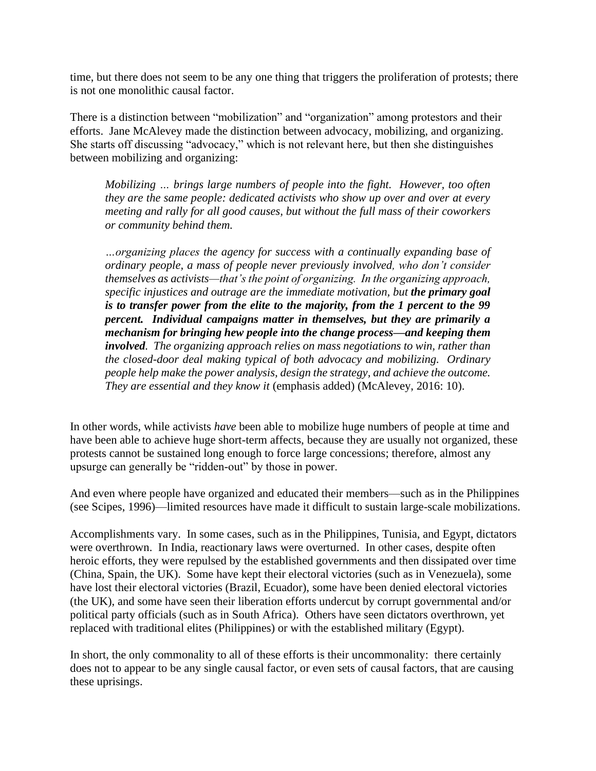time, but there does not seem to be any one thing that triggers the proliferation of protests; there is not one monolithic causal factor.

There is a distinction between "mobilization" and "organization" among protestors and their efforts. Jane McAlevey made the distinction between advocacy, mobilizing, and organizing. She starts off discussing "advocacy," which is not relevant here, but then she distinguishes between mobilizing and organizing:

*Mobilizing … brings large numbers of people into the fight. However, too often they are the same people: dedicated activists who show up over and over at every meeting and rally for all good causes, but without the full mass of their coworkers or community behind them.* 

*…organizing places the agency for success with a continually expanding base of ordinary people, a mass of people never previously involved, who don't consider themselves as activists—that's the point of organizing. In the organizing approach, specific injustices and outrage are the immediate motivation, but the primary goal is to transfer power from the elite to the majority, from the 1 percent to the 99 percent. Individual campaigns matter in themselves, but they are primarily a mechanism for bringing hew people into the change process—and keeping them involved. The organizing approach relies on mass negotiations to win, rather than the closed-door deal making typical of both advocacy and mobilizing. Ordinary people help make the power analysis, design the strategy, and achieve the outcome. They are essential and they know it* (emphasis added) (McAlevey, 2016: 10).

In other words, while activists *have* been able to mobilize huge numbers of people at time and have been able to achieve huge short-term affects, because they are usually not organized, these protests cannot be sustained long enough to force large concessions; therefore, almost any upsurge can generally be "ridden-out" by those in power.

And even where people have organized and educated their members—such as in the Philippines (see Scipes, 1996)—limited resources have made it difficult to sustain large-scale mobilizations.

Accomplishments vary. In some cases, such as in the Philippines, Tunisia, and Egypt, dictators were overthrown. In India, reactionary laws were overturned. In other cases, despite often heroic efforts, they were repulsed by the established governments and then dissipated over time (China, Spain, the UK). Some have kept their electoral victories (such as in Venezuela), some have lost their electoral victories (Brazil, Ecuador), some have been denied electoral victories (the UK), and some have seen their liberation efforts undercut by corrupt governmental and/or political party officials (such as in South Africa). Others have seen dictators overthrown, yet replaced with traditional elites (Philippines) or with the established military (Egypt).

In short, the only commonality to all of these efforts is their uncommonality: there certainly does not to appear to be any single causal factor, or even sets of causal factors, that are causing these uprisings.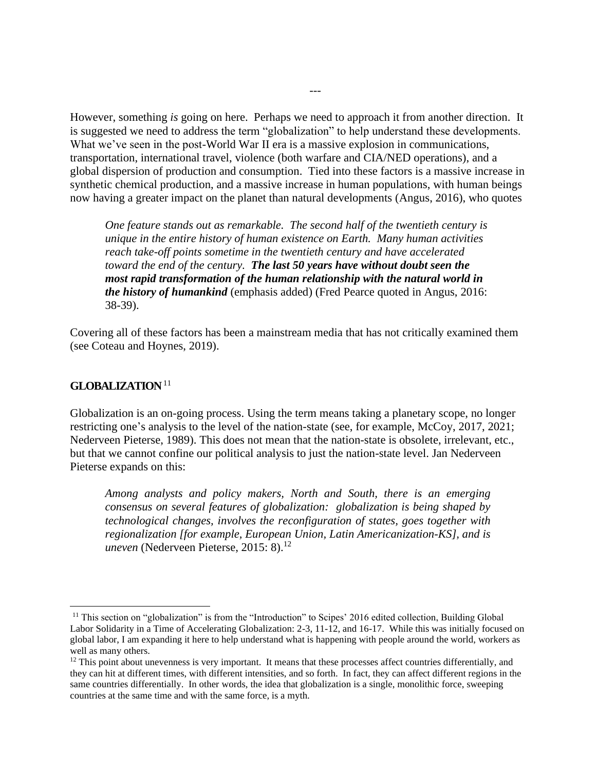However, something *is* going on here. Perhaps we need to approach it from another direction. It is suggested we need to address the term "globalization" to help understand these developments. What we've seen in the post-World War II era is a massive explosion in communications, transportation, international travel, violence (both warfare and CIA/NED operations), and a global dispersion of production and consumption. Tied into these factors is a massive increase in synthetic chemical production, and a massive increase in human populations, with human beings now having a greater impact on the planet than natural developments (Angus, 2016), who quotes

*One feature stands out as remarkable. The second half of the twentieth century is unique in the entire history of human existence on Earth. Many human activities reach take-off points sometime in the twentieth century and have accelerated toward the end of the century. The last 50 years have without doubt seen the most rapid transformation of the human relationship with the natural world in the history of humankind* (emphasis added) (Fred Pearce quoted in Angus, 2016: 38-39).

Covering all of these factors has been a mainstream media that has not critically examined them (see Coteau and Hoynes, 2019).

#### **GLOBALIZATION**<sup>11</sup>

Globalization is an on-going process. Using the term means taking a planetary scope, no longer restricting one's analysis to the level of the nation-state (see, for example, McCoy, 2017, 2021; Nederveen Pieterse, 1989). This does not mean that the nation-state is obsolete, irrelevant, etc., but that we cannot confine our political analysis to just the nation-state level. Jan Nederveen Pieterse expands on this:

*Among analysts and policy makers, North and South, there is an emerging consensus on several features of globalization: globalization is being shaped by technological changes, involves the reconfiguration of states, goes together with regionalization [for example, European Union, Latin Americanization-KS], and is uneven* (Nederveen Pieterse, 2015: 8). 12

<sup>&</sup>lt;sup>11</sup> This section on "globalization" is from the "Introduction" to Scipes' 2016 edited collection, Building Global Labor Solidarity in a Time of Accelerating Globalization: 2-3, 11-12, and 16-17. While this was initially focused on global labor, I am expanding it here to help understand what is happening with people around the world, workers as well as many others.

 $12$  This point about unevenness is very important. It means that these processes affect countries differentially, and they can hit at different times, with different intensities, and so forth. In fact, they can affect different regions in the same countries differentially. In other words, the idea that globalization is a single, monolithic force, sweeping countries at the same time and with the same force, is a myth.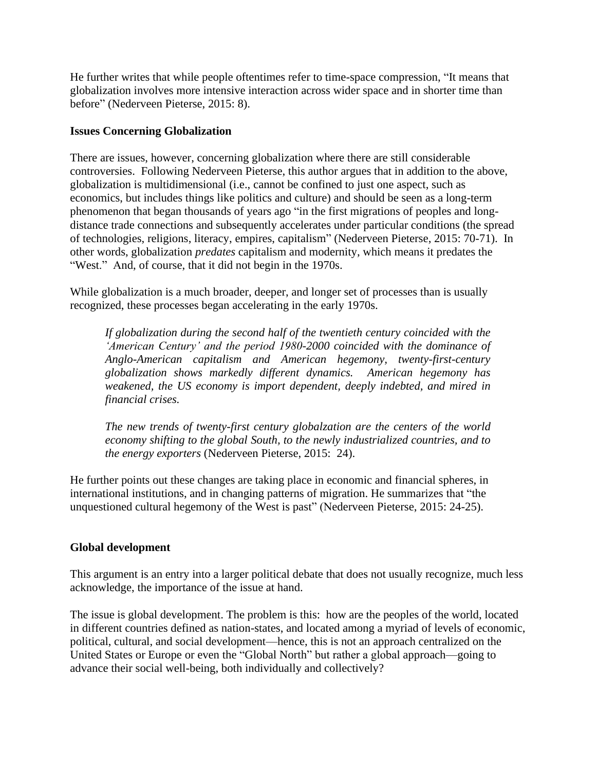He further writes that while people oftentimes refer to time-space compression, "It means that globalization involves more intensive interaction across wider space and in shorter time than before" (Nederveen Pieterse, 2015: 8).

#### **Issues Concerning Globalization**

There are issues, however, concerning globalization where there are still considerable controversies. Following Nederveen Pieterse, this author argues that in addition to the above, globalization is multidimensional (i.e., cannot be confined to just one aspect, such as economics, but includes things like politics and culture) and should be seen as a long-term phenomenon that began thousands of years ago "in the first migrations of peoples and longdistance trade connections and subsequently accelerates under particular conditions (the spread of technologies, religions, literacy, empires, capitalism" (Nederveen Pieterse, 2015: 70-71). In other words, globalization *predates* capitalism and modernity, which means it predates the "West." And, of course, that it did not begin in the 1970s.

While globalization is a much broader, deeper, and longer set of processes than is usually recognized, these processes began accelerating in the early 1970s.

*If globalization during the second half of the twentieth century coincided with the 'American Century' and the period 1980-2000 coincided with the dominance of Anglo-American capitalism and American hegemony, twenty-first-century globalization shows markedly different dynamics. American hegemony has weakened, the US economy is import dependent, deeply indebted, and mired in financial crises.*

*The new trends of twenty-first century globalzation are the centers of the world economy shifting to the global South, to the newly industrialized countries, and to the energy exporters* (Nederveen Pieterse, 2015: 24).

He further points out these changes are taking place in economic and financial spheres, in international institutions, and in changing patterns of migration. He summarizes that "the unquestioned cultural hegemony of the West is past" (Nederveen Pieterse, 2015: 24-25).

## **Global development**

This argument is an entry into a larger political debate that does not usually recognize, much less acknowledge, the importance of the issue at hand.

The issue is global development. The problem is this: how are the peoples of the world, located in different countries defined as nation-states, and located among a myriad of levels of economic, political, cultural, and social development—hence, this is not an approach centralized on the United States or Europe or even the "Global North" but rather a global approach—going to advance their social well-being, both individually and collectively?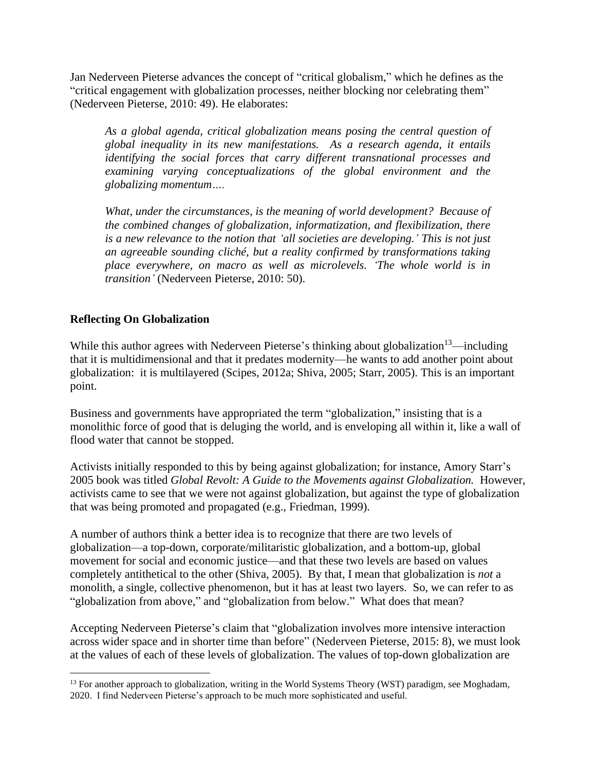Jan Nederveen Pieterse advances the concept of "critical globalism," which he defines as the "critical engagement with globalization processes, neither blocking nor celebrating them" (Nederveen Pieterse, 2010: 49). He elaborates:

*As a global agenda, critical globalization means posing the central question of global inequality in its new manifestations. As a research agenda, it entails identifying the social forces that carry different transnational processes and examining varying conceptualizations of the global environment and the globalizing momentum….*

*What, under the circumstances, is the meaning of world development? Because of the combined changes of globalization, informatization, and flexibilization, there is a new relevance to the notion that 'all societies are developing.' This is not just an agreeable sounding cliché, but a reality confirmed by transformations taking place everywhere, on macro as well as microlevels. 'The whole world is in transition'* (Nederveen Pieterse, 2010: 50).

## **Reflecting On Globalization**

While this author agrees with Nederveen Pieterse's thinking about globalization<sup>13</sup>—including that it is multidimensional and that it predates modernity—he wants to add another point about globalization: it is multilayered (Scipes, 2012a; Shiva, 2005; Starr, 2005). This is an important point.

Business and governments have appropriated the term "globalization," insisting that is a monolithic force of good that is deluging the world, and is enveloping all within it, like a wall of flood water that cannot be stopped.

Activists initially responded to this by being against globalization; for instance, Amory Starr's 2005 book was titled *Global Revolt: A Guide to the Movements against Globalization.* However, activists came to see that we were not against globalization, but against the type of globalization that was being promoted and propagated (e.g., Friedman, 1999).

A number of authors think a better idea is to recognize that there are two levels of globalization—a top-down, corporate/militaristic globalization, and a bottom-up, global movement for social and economic justice—and that these two levels are based on values completely antithetical to the other (Shiva, 2005). By that, I mean that globalization is *not* a monolith, a single, collective phenomenon, but it has at least two layers. So, we can refer to as "globalization from above," and "globalization from below." What does that mean?

Accepting Nederveen Pieterse's claim that "globalization involves more intensive interaction across wider space and in shorter time than before" (Nederveen Pieterse, 2015: 8), we must look at the values of each of these levels of globalization. The values of top-down globalization are

<sup>&</sup>lt;sup>13</sup> For another approach to globalization, writing in the World Systems Theory (WST) paradigm, see Moghadam, 2020. I find Nederveen Pieterse's approach to be much more sophisticated and useful.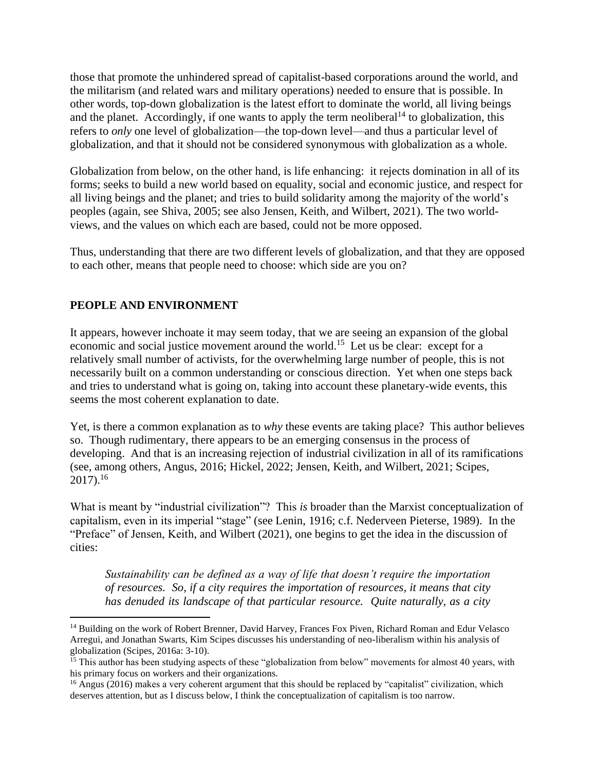those that promote the unhindered spread of capitalist-based corporations around the world, and the militarism (and related wars and military operations) needed to ensure that is possible. In other words, top-down globalization is the latest effort to dominate the world, all living beings and the planet. Accordingly, if one wants to apply the term neoliberal<sup>14</sup> to globalization, this refers to *only* one level of globalization—the top-down level—and thus a particular level of globalization, and that it should not be considered synonymous with globalization as a whole.

Globalization from below, on the other hand, is life enhancing: it rejects domination in all of its forms; seeks to build a new world based on equality, social and economic justice, and respect for all living beings and the planet; and tries to build solidarity among the majority of the world's peoples (again, see Shiva, 2005; see also Jensen, Keith, and Wilbert, 2021). The two worldviews, and the values on which each are based, could not be more opposed.

Thus, understanding that there are two different levels of globalization, and that they are opposed to each other, means that people need to choose: which side are you on?

## **PEOPLE AND ENVIRONMENT**

It appears, however inchoate it may seem today, that we are seeing an expansion of the global economic and social justice movement around the world.<sup>15</sup> Let us be clear: except for a relatively small number of activists, for the overwhelming large number of people, this is not necessarily built on a common understanding or conscious direction. Yet when one steps back and tries to understand what is going on, taking into account these planetary-wide events, this seems the most coherent explanation to date.

Yet, is there a common explanation as to *why* these events are taking place? This author believes so. Though rudimentary, there appears to be an emerging consensus in the process of developing. And that is an increasing rejection of industrial civilization in all of its ramifications (see, among others, Angus, 2016; Hickel, 2022; Jensen, Keith, and Wilbert, 2021; Scipes,  $2017$ ).<sup>16</sup>

What is meant by "industrial civilization"? This *is* broader than the Marxist conceptualization of capitalism, even in its imperial "stage" (see Lenin, 1916; c.f. Nederveen Pieterse, 1989). In the "Preface" of Jensen, Keith, and Wilbert (2021), one begins to get the idea in the discussion of cities:

*Sustainability can be defined as a way of life that doesn't require the importation of resources. So, if a city requires the importation of resources, it means that city has denuded its landscape of that particular resource. Quite naturally, as a city* 

<sup>&</sup>lt;sup>14</sup> Building on the work of Robert Brenner, David Harvey, Frances Fox Piven, Richard Roman and Edur Velasco Arregui, and Jonathan Swarts, Kim Scipes discusses his understanding of neo-liberalism within his analysis of globalization (Scipes, 2016a: 3-10).

 $15$  This author has been studying aspects of these "globalization from below" movements for almost 40 years, with his primary focus on workers and their organizations.

<sup>&</sup>lt;sup>16</sup> Angus (2016) makes a very coherent argument that this should be replaced by "capitalist" civilization, which deserves attention, but as I discuss below, I think the conceptualization of capitalism is too narrow.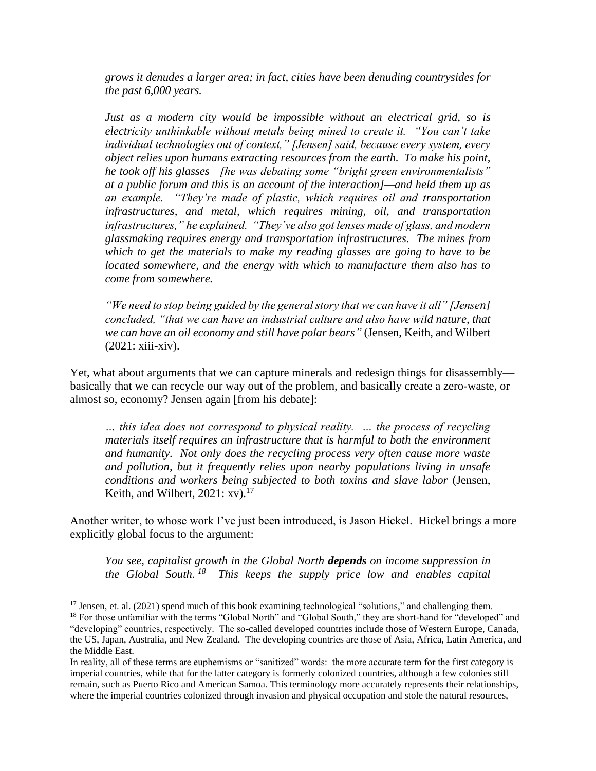*grows it denudes a larger area; in fact, cities have been denuding countrysides for the past 6,000 years.*

*Just as a modern city would be impossible without an electrical grid, so is electricity unthinkable without metals being mined to create it. "You can't take individual technologies out of context," [Jensen] said, because every system, every object relies upon humans extracting resources from the earth. To make his point, he took off his glasses—[he was debating some "bright green environmentalists" at a public forum and this is an account of the interaction]—and held them up as an example. "They're made of plastic, which requires oil and transportation infrastructures, and metal, which requires mining, oil, and transportation infrastructures," he explained. "They've also got lenses made of glass, and modern glassmaking requires energy and transportation infrastructures. The mines from which to get the materials to make my reading glasses are going to have to be located somewhere, and the energy with which to manufacture them also has to come from somewhere.*

*"We need to stop being guided by the general story that we can have it all" [Jensen] concluded, "that we can have an industrial culture and also have wild nature, that we can have an oil economy and still have polar bears"* (Jensen, Keith, and Wilbert (2021: xiii-xiv).

Yet, what about arguments that we can capture minerals and redesign things for disassembly basically that we can recycle our way out of the problem, and basically create a zero-waste, or almost so, economy? Jensen again [from his debate]:

*… this idea does not correspond to physical reality. … the process of recycling materials itself requires an infrastructure that is harmful to both the environment and humanity. Not only does the recycling process very often cause more waste and pollution, but it frequently relies upon nearby populations living in unsafe conditions and workers being subjected to both toxins and slave labor* (Jensen, Keith, and Wilbert, 2021: xv).<sup>17</sup>

Another writer, to whose work I've just been introduced, is Jason Hickel. Hickel brings a more explicitly global focus to the argument:

*You see, capitalist growth in the Global North depends on income suppression in the Global South. 18 This keeps the supply price low and enables capital* 

 $17$  Jensen, et. al. (2021) spend much of this book examining technological "solutions," and challenging them.

<sup>&</sup>lt;sup>18</sup> For those unfamiliar with the terms "Global North" and "Global South," they are short-hand for "developed" and "developing" countries, respectively. The so-called developed countries include those of Western Europe, Canada, the US, Japan, Australia, and New Zealand. The developing countries are those of Asia, Africa, Latin America, and the Middle East.

In reality, all of these terms are euphemisms or "sanitized" words: the more accurate term for the first category is imperial countries, while that for the latter category is formerly colonized countries, although a few colonies still remain, such as Puerto Rico and American Samoa. This terminology more accurately represents their relationships, where the imperial countries colonized through invasion and physical occupation and stole the natural resources,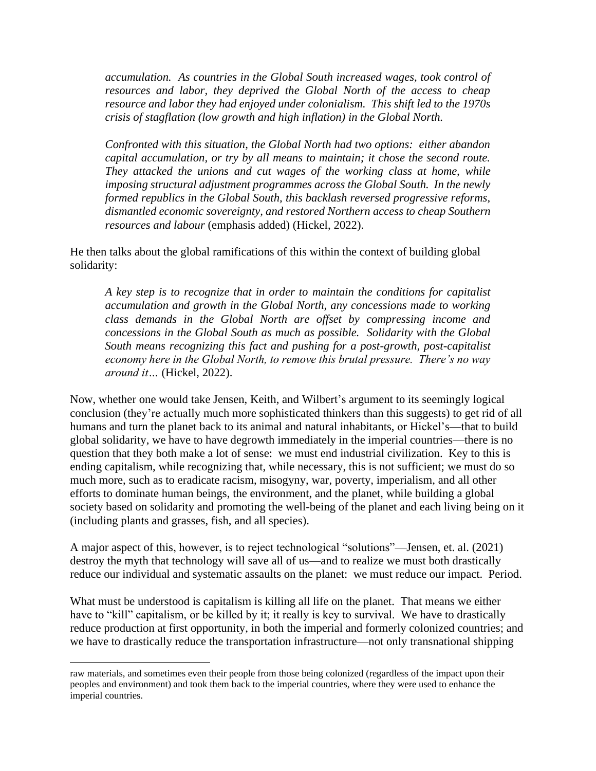*accumulation. As countries in the Global South increased wages, took control of resources and labor, they deprived the Global North of the access to cheap resource and labor they had enjoyed under colonialism. This shift led to the 1970s crisis of stagflation (low growth and high inflation) in the Global North.*

*Confronted with this situation, the Global North had two options: either abandon capital accumulation, or try by all means to maintain; it chose the second route. They attacked the unions and cut wages of the working class at home, while imposing structural adjustment programmes across the Global South. In the newly formed republics in the Global South, this backlash reversed progressive reforms, dismantled economic sovereignty, and restored Northern access to cheap Southern resources and labour* (emphasis added) (Hickel, 2022).

He then talks about the global ramifications of this within the context of building global solidarity:

*A key step is to recognize that in order to maintain the conditions for capitalist accumulation and growth in the Global North, any concessions made to working class demands in the Global North are offset by compressing income and concessions in the Global South as much as possible. Solidarity with the Global South means recognizing this fact and pushing for a post-growth, post-capitalist economy here in the Global North, to remove this brutal pressure. There's no way around it…* (Hickel, 2022).

Now, whether one would take Jensen, Keith, and Wilbert's argument to its seemingly logical conclusion (they're actually much more sophisticated thinkers than this suggests) to get rid of all humans and turn the planet back to its animal and natural inhabitants, or Hickel's—that to build global solidarity, we have to have degrowth immediately in the imperial countries—there is no question that they both make a lot of sense: we must end industrial civilization. Key to this is ending capitalism, while recognizing that, while necessary, this is not sufficient; we must do so much more, such as to eradicate racism, misogyny, war, poverty, imperialism, and all other efforts to dominate human beings, the environment, and the planet, while building a global society based on solidarity and promoting the well-being of the planet and each living being on it (including plants and grasses, fish, and all species).

A major aspect of this, however, is to reject technological "solutions"—Jensen, et. al. (2021) destroy the myth that technology will save all of us—and to realize we must both drastically reduce our individual and systematic assaults on the planet: we must reduce our impact. Period.

What must be understood is capitalism is killing all life on the planet. That means we either have to "kill" capitalism, or be killed by it; it really is key to survival. We have to drastically reduce production at first opportunity, in both the imperial and formerly colonized countries; and we have to drastically reduce the transportation infrastructure—not only transnational shipping

raw materials, and sometimes even their people from those being colonized (regardless of the impact upon their peoples and environment) and took them back to the imperial countries, where they were used to enhance the imperial countries.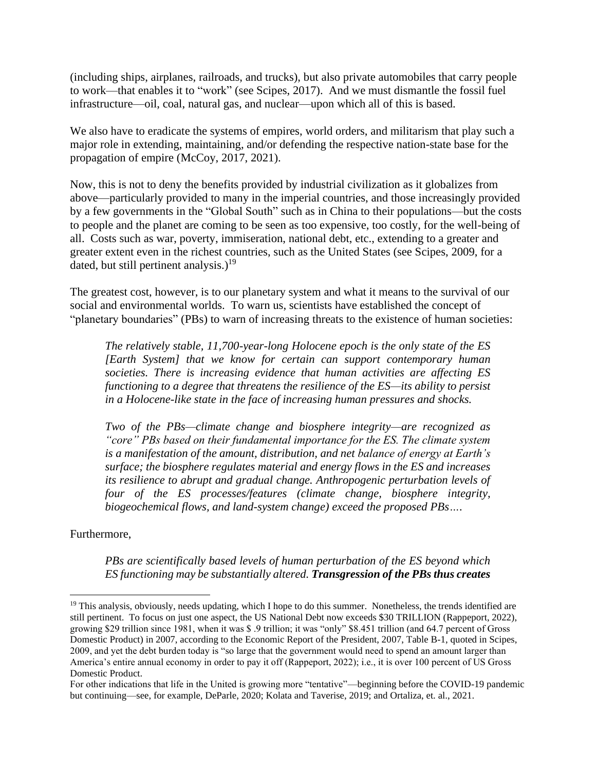(including ships, airplanes, railroads, and trucks), but also private automobiles that carry people to work—that enables it to "work" (see Scipes, 2017). And we must dismantle the fossil fuel infrastructure—oil, coal, natural gas, and nuclear—upon which all of this is based.

We also have to eradicate the systems of empires, world orders, and militarism that play such a major role in extending, maintaining, and/or defending the respective nation-state base for the propagation of empire (McCoy, 2017, 2021).

Now, this is not to deny the benefits provided by industrial civilization as it globalizes from above—particularly provided to many in the imperial countries, and those increasingly provided by a few governments in the "Global South" such as in China to their populations—but the costs to people and the planet are coming to be seen as too expensive, too costly, for the well-being of all. Costs such as war, poverty, immiseration, national debt, etc., extending to a greater and greater extent even in the richest countries, such as the United States (see Scipes, 2009, for a dated, but still pertinent analysis.)<sup>19</sup>

The greatest cost, however, is to our planetary system and what it means to the survival of our social and environmental worlds. To warn us, scientists have established the concept of "planetary boundaries" (PBs) to warn of increasing threats to the existence of human societies:

*The relatively stable, 11,700-year-long Holocene epoch is the only state of the ES [Earth System] that we know for certain can support contemporary human societies. There is increasing evidence that human activities are affecting ES functioning to a degree that threatens the resilience of the ES—its ability to persist in a Holocene-like state in the face of increasing human pressures and shocks.* 

*Two of the PBs—climate change and biosphere integrity—are recognized as "core" PBs based on their fundamental importance for the ES. The climate system is a manifestation of the amount, distribution, and net balance of energy at Earth's surface; the biosphere regulates material and energy flows in the ES and increases its resilience to abrupt and gradual change. Anthropogenic perturbation levels of four of the ES processes/features (climate change, biosphere integrity, biogeochemical flows, and land-system change) exceed the proposed PBs….* 

Furthermore,

*PBs are scientifically based levels of human perturbation of the ES beyond which ES functioning may be substantially altered. Transgression of the PBs thus creates* 

 $19$  This analysis, obviously, needs updating, which I hope to do this summer. Nonetheless, the trends identified are still pertinent. To focus on just one aspect, the US National Debt now exceeds \$30 TRILLION (Rappeport, 2022), growing \$29 trillion since 1981, when it was \$ .9 trillion; it was "only" \$8.451 trillion (and 64.7 percent of Gross Domestic Product) in 2007, according to the Economic Report of the President, 2007, Table B-1, quoted in Scipes, 2009, and yet the debt burden today is "so large that the government would need to spend an amount larger than America's entire annual economy in order to pay it off (Rappeport, 2022); i.e., it is over 100 percent of US Gross Domestic Product.

For other indications that life in the United is growing more "tentative"—beginning before the COVID-19 pandemic but continuing—see, for example, DeParle, 2020; Kolata and Taverise, 2019; and Ortaliza, et. al., 2021.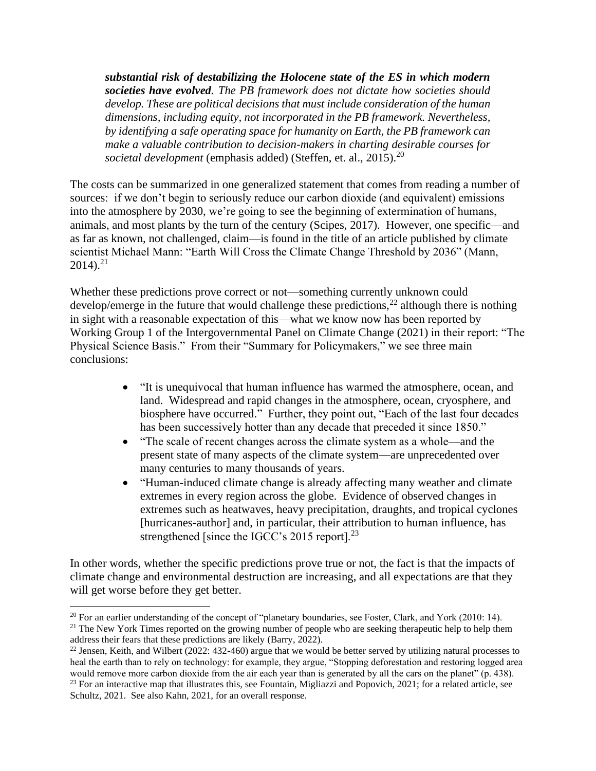*substantial risk of destabilizing the Holocene state of the ES in which modern societies have evolved. The PB framework does not dictate how societies should develop. These are political decisions that must include consideration of the human dimensions, including equity, not incorporated in the PB framework. Nevertheless, by identifying a safe operating space for humanity on Earth, the PB framework can make a valuable contribution to decision-makers in charting desirable courses for societal development* (emphasis added) (Steffen, et. al., 2015).<sup>20</sup>

The costs can be summarized in one generalized statement that comes from reading a number of sources: if we don't begin to seriously reduce our carbon dioxide (and equivalent) emissions into the atmosphere by 2030, we're going to see the beginning of extermination of humans, animals, and most plants by the turn of the century (Scipes, 2017). However, one specific—and as far as known, not challenged, claim—is found in the title of an article published by climate scientist Michael Mann: "Earth Will Cross the Climate Change Threshold by 2036" (Mann,  $2014$ ).<sup>21</sup>

Whether these predictions prove correct or not—something currently unknown could develop/emerge in the future that would challenge these predictions,  $^{22}$  although there is nothing in sight with a reasonable expectation of this—what we know now has been reported by Working Group 1 of the Intergovernmental Panel on Climate Change (2021) in their report: "The Physical Science Basis." From their "Summary for Policymakers," we see three main conclusions:

- "It is unequivocal that human influence has warmed the atmosphere, ocean, and land. Widespread and rapid changes in the atmosphere, ocean, cryosphere, and biosphere have occurred." Further, they point out, "Each of the last four decades has been successively hotter than any decade that preceded it since 1850."
- "The scale of recent changes across the climate system as a whole—and the present state of many aspects of the climate system—are unprecedented over many centuries to many thousands of years.
- "Human-induced climate change is already affecting many weather and climate extremes in every region across the globe. Evidence of observed changes in extremes such as heatwaves, heavy precipitation, draughts, and tropical cyclones [hurricanes-author] and, in particular, their attribution to human influence, has strengthened [since the IGCC's 2015 report].<sup>23</sup>

In other words, whether the specific predictions prove true or not, the fact is that the impacts of climate change and environmental destruction are increasing, and all expectations are that they will get worse before they get better.

<sup>&</sup>lt;sup>20</sup> For an earlier understanding of the concept of "planetary boundaries, see Foster, Clark, and York (2010: 14).

 $21$  The New York Times reported on the growing number of people who are seeking therapeutic help to help them address their fears that these predictions are likely (Barry, 2022).

 $^{22}$  Jensen, Keith, and Wilbert (2022: 432-460) argue that we would be better served by utilizing natural processes to heal the earth than to rely on technology: for example, they argue, "Stopping deforestation and restoring logged area would remove more carbon dioxide from the air each year than is generated by all the cars on the planet" (p. 438). <sup>23</sup> For an interactive map that illustrates this, see Fountain, Migliazzi and Popovich, 2021; for a related article, see Schultz, 2021. See also Kahn, 2021, for an overall response.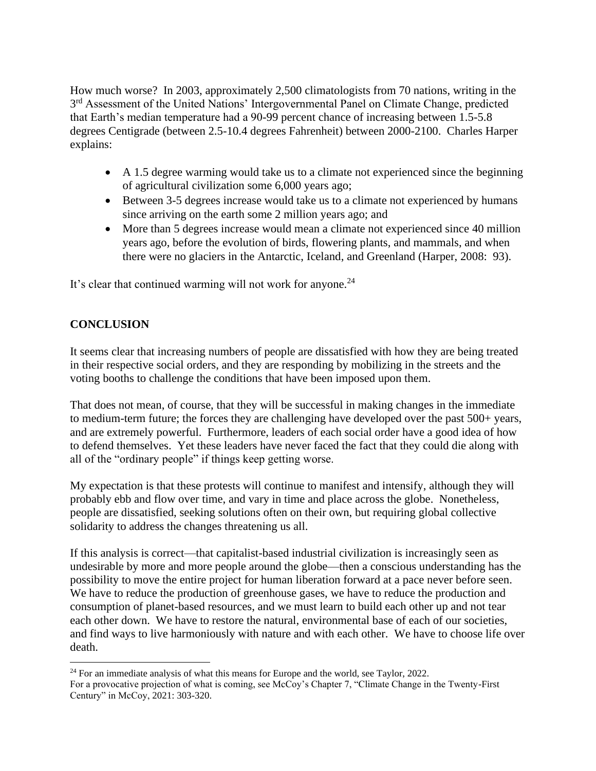How much worse? In 2003, approximately 2,500 climatologists from 70 nations, writing in the 3<sup>rd</sup> Assessment of the United Nations' Intergovernmental Panel on Climate Change, predicted that Earth's median temperature had a 90-99 percent chance of increasing between 1.5-5.8 degrees Centigrade (between 2.5-10.4 degrees Fahrenheit) between 2000-2100. Charles Harper explains:

- A 1.5 degree warming would take us to a climate not experienced since the beginning of agricultural civilization some 6,000 years ago;
- Between 3-5 degrees increase would take us to a climate not experienced by humans since arriving on the earth some 2 million years ago; and
- More than 5 degrees increase would mean a climate not experienced since 40 million years ago, before the evolution of birds, flowering plants, and mammals, and when there were no glaciers in the Antarctic, Iceland, and Greenland (Harper, 2008: 93).

It's clear that continued warming will not work for anyone.<sup>24</sup>

## **CONCLUSION**

It seems clear that increasing numbers of people are dissatisfied with how they are being treated in their respective social orders, and they are responding by mobilizing in the streets and the voting booths to challenge the conditions that have been imposed upon them.

That does not mean, of course, that they will be successful in making changes in the immediate to medium-term future; the forces they are challenging have developed over the past 500+ years, and are extremely powerful. Furthermore, leaders of each social order have a good idea of how to defend themselves. Yet these leaders have never faced the fact that they could die along with all of the "ordinary people" if things keep getting worse.

My expectation is that these protests will continue to manifest and intensify, although they will probably ebb and flow over time, and vary in time and place across the globe. Nonetheless, people are dissatisfied, seeking solutions often on their own, but requiring global collective solidarity to address the changes threatening us all.

If this analysis is correct—that capitalist-based industrial civilization is increasingly seen as undesirable by more and more people around the globe—then a conscious understanding has the possibility to move the entire project for human liberation forward at a pace never before seen. We have to reduce the production of greenhouse gases, we have to reduce the production and consumption of planet-based resources, and we must learn to build each other up and not tear each other down. We have to restore the natural, environmental base of each of our societies, and find ways to live harmoniously with nature and with each other. We have to choose life over death.

<sup>&</sup>lt;sup>24</sup> For an immediate analysis of what this means for Europe and the world, see Taylor, 2022. For a provocative projection of what is coming, see McCoy's Chapter 7, "Climate Change in the Twenty-First Century" in McCoy, 2021: 303-320.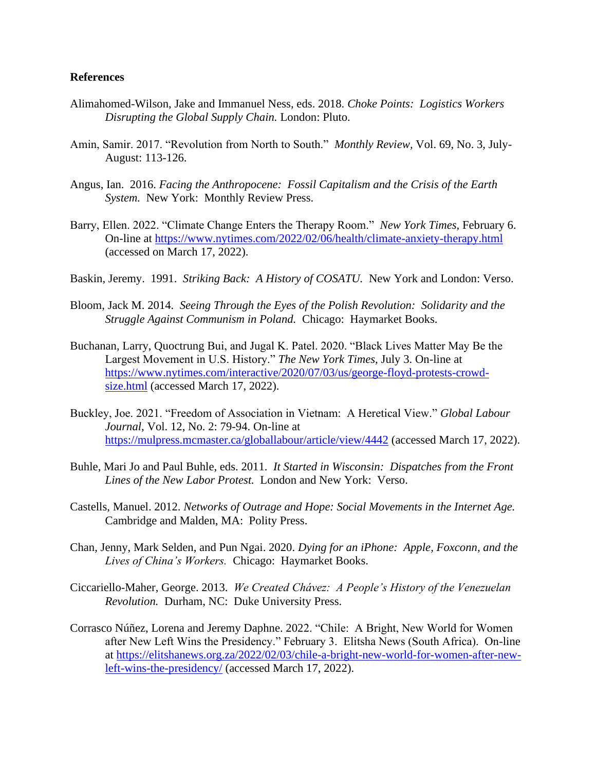#### **References**

- Alimahomed-Wilson, Jake and Immanuel Ness, eds. 2018. *Choke Points: Logistics Workers Disrupting the Global Supply Chain.* London: Pluto.
- Amin, Samir. 2017. "Revolution from North to South." *Monthly Review,* Vol. 69, No. 3, July-August: 113-126.
- Angus, Ian. 2016. *Facing the Anthropocene: Fossil Capitalism and the Crisis of the Earth System.* New York: Monthly Review Press.
- Barry, Ellen. 2022. "Climate Change Enters the Therapy Room." *New York Times,* February 6. On-line at<https://www.nytimes.com/2022/02/06/health/climate-anxiety-therapy.html> (accessed on March 17, 2022).
- Baskin, Jeremy. 1991. *Striking Back: A History of COSATU.* New York and London: Verso.
- Bloom, Jack M. 2014. *Seeing Through the Eyes of the Polish Revolution: Solidarity and the Struggle Against Communism in Poland.* Chicago: Haymarket Books.
- Buchanan, Larry, Quoctrung Bui, and Jugal K. Patel. 2020. "Black Lives Matter May Be the Largest Movement in U.S. History." *The New York Times,* July 3. On-line at [https://www.nytimes.com/interactive/2020/07/03/us/george-floyd-protests-crowd](https://www.nytimes.com/interactive/2020/07/03/us/george-floyd-protests-crowd-size.html)[size.html](https://www.nytimes.com/interactive/2020/07/03/us/george-floyd-protests-crowd-size.html) (accessed March 17, 2022).
- Buckley, Joe. 2021. "Freedom of Association in Vietnam: A Heretical View." *Global Labour Journal,* Vol. 12, No. 2: 79-94. On-line at <https://mulpress.mcmaster.ca/globallabour/article/view/4442> (accessed March 17, 2022).
- Buhle, Mari Jo and Paul Buhle, eds. 2011. *It Started in Wisconsin: Dispatches from the Front Lines of the New Labor Protest.* London and New York: Verso.
- Castells, Manuel. 2012. *Networks of Outrage and Hope: Social Movements in the Internet Age.* Cambridge and Malden, MA: Polity Press.
- Chan, Jenny, Mark Selden, and Pun Ngai. 2020. *Dying for an iPhone: Apple, Foxconn, and the Lives of China's Workers.* Chicago: Haymarket Books.
- Ciccariello-Maher, George. 2013. *We Created Chávez: A People's History of the Venezuelan Revolution.* Durham, NC: Duke University Press.
- Corrasco Núñez, Lorena and Jeremy Daphne. 2022. "Chile: A Bright, New World for Women after New Left Wins the Presidency." February 3. Elitsha News (South Africa). On-line at [https://elitshanews.org.za/2022/02/03/chile-a-bright-new-world-for-women-after-new](https://elitshanews.org.za/2022/02/03/chile-a-bright-new-world-for-women-after-new-left-wins-the-presidency/)[left-wins-the-presidency/](https://elitshanews.org.za/2022/02/03/chile-a-bright-new-world-for-women-after-new-left-wins-the-presidency/) (accessed March 17, 2022).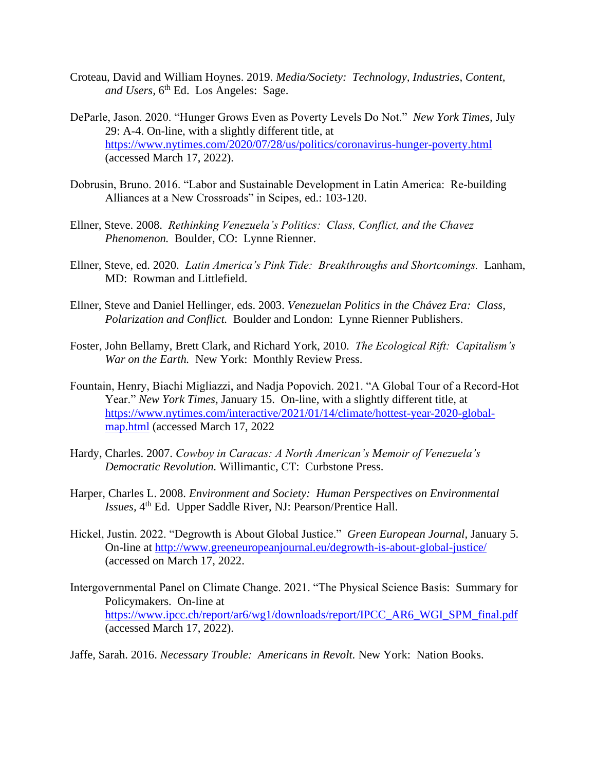- Croteau, David and William Hoynes. 2019. *Media/Society: Technology, Industries, Content,*  and Users, 6<sup>th</sup> Ed. Los Angeles: Sage.
- DeParle, Jason. 2020. "Hunger Grows Even as Poverty Levels Do Not." *New York Times,* July 29: A-4. On-line, with a slightly different title, at <https://www.nytimes.com/2020/07/28/us/politics/coronavirus-hunger-poverty.html> (accessed March 17, 2022).
- Dobrusin, Bruno. 2016. "Labor and Sustainable Development in Latin America: Re-building Alliances at a New Crossroads" in Scipes, ed.: 103-120.
- Ellner, Steve. 2008. *Rethinking Venezuela's Politics: Class, Conflict, and the Chavez Phenomenon.* Boulder, CO: Lynne Rienner.
- Ellner, Steve, ed. 2020. *Latin America's Pink Tide: Breakthroughs and Shortcomings.* Lanham, MD: Rowman and Littlefield.
- Ellner, Steve and Daniel Hellinger, eds. 2003. *Venezuelan Politics in the Chávez Era: Class, Polarization and Conflict.* Boulder and London: Lynne Rienner Publishers.
- Foster, John Bellamy, Brett Clark, and Richard York, 2010. *The Ecological Rift: Capitalism's War on the Earth.* New York: Monthly Review Press.
- Fountain, Henry, Biachi Migliazzi, and Nadja Popovich. 2021. "A Global Tour of a Record-Hot Year." *New York Times,* January 15. On-line, with a slightly different title, at [https://www.nytimes.com/interactive/2021/01/14/climate/hottest-year-2020-global](https://www.nytimes.com/interactive/2021/01/14/climate/hottest-year-2020-global-map.html)[map.html](https://www.nytimes.com/interactive/2021/01/14/climate/hottest-year-2020-global-map.html) (accessed March 17, 2022
- Hardy, Charles. 2007. *Cowboy in Caracas: A North American's Memoir of Venezuela's Democratic Revolution.* Willimantic, CT: Curbstone Press.
- Harper, Charles L. 2008. *Environment and Society: Human Perspectives on Environmental Issues*, 4<sup>th</sup> Ed. Upper Saddle River, NJ: Pearson/Prentice Hall.
- Hickel, Justin. 2022. "Degrowth is About Global Justice." *Green European Journal,* January 5. On-line at<http://www.greeneuropeanjournal.eu/degrowth-is-about-global-justice/> (accessed on March 17, 2022.
- Intergovernmental Panel on Climate Change. 2021. "The Physical Science Basis: Summary for Policymakers. On-line at [https://www.ipcc.ch/report/ar6/wg1/downloads/report/IPCC\\_AR6\\_WGI\\_SPM\\_final.pdf](https://www.ipcc.ch/report/ar6/wg1/downloads/report/IPCC_AR6_WGI_SPM_final.pdf) (accessed March 17, 2022).

Jaffe, Sarah. 2016. *Necessary Trouble: Americans in Revolt.* New York: Nation Books.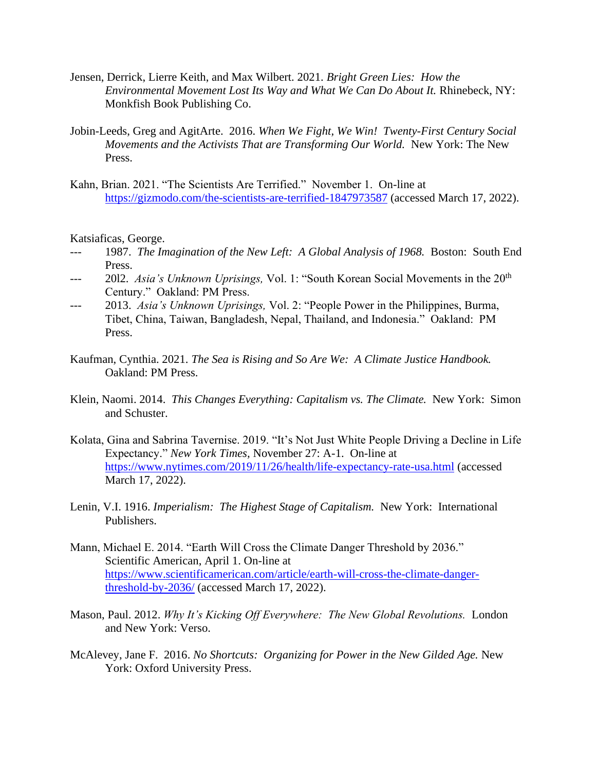- Jensen, Derrick, Lierre Keith, and Max Wilbert. 2021. *Bright Green Lies: How the Environmental Movement Lost Its Way and What We Can Do About It.* Rhinebeck, NY: Monkfish Book Publishing Co.
- Jobin-Leeds, Greg and AgitArte. 2016. *When We Fight, We Win! Twenty-First Century Social Movements and the Activists That are Transforming Our World.* New York: The New Press.
- Kahn, Brian. 2021. "The Scientists Are Terrified." November 1. On-line at <https://gizmodo.com/the-scientists-are-terrified-1847973587> (accessed March 17, 2022).

Katsiaficas, George.

- 1987. *The Imagination of the New Left: A Global Analysis of 1968.* Boston: South End Press.
- <sup>---</sup> 2012. *Asia's Unknown Uprisings*, Vol. 1: "South Korean Social Movements in the 20<sup>th</sup> Century." Oakland: PM Press.
- --- 2013. *Asia's Unknown Uprisings,* Vol. 2: "People Power in the Philippines, Burma, Tibet, China, Taiwan, Bangladesh, Nepal, Thailand, and Indonesia." Oakland: PM Press.
- Kaufman, Cynthia. 2021. *The Sea is Rising and So Are We: A Climate Justice Handbook.* Oakland: PM Press.
- Klein, Naomi. 2014. *This Changes Everything: Capitalism vs. The Climate.* New York: Simon and Schuster.
- Kolata, Gina and Sabrina Tavernise. 2019. "It's Not Just White People Driving a Decline in Life Expectancy." *New York Times,* November 27: A-1. On-line at <https://www.nytimes.com/2019/11/26/health/life-expectancy-rate-usa.html> (accessed March 17, 2022).
- Lenin, V.I. 1916. *Imperialism: The Highest Stage of Capitalism.* New York: International Publishers.
- Mann, Michael E. 2014. "Earth Will Cross the Climate Danger Threshold by 2036." Scientific American, April 1. On-line at [https://www.scientificamerican.com/article/earth-will-cross-the-climate-danger](https://www.scientificamerican.com/article/earth-will-cross-the-climate-danger-threshold-by-2036/)[threshold-by-2036/](https://www.scientificamerican.com/article/earth-will-cross-the-climate-danger-threshold-by-2036/) (accessed March 17, 2022).
- Mason, Paul. 2012. *Why It's Kicking Off Everywhere: The New Global Revolutions.* London and New York: Verso.
- McAlevey, Jane F. 2016. *No Shortcuts: Organizing for Power in the New Gilded Age.* New York: Oxford University Press.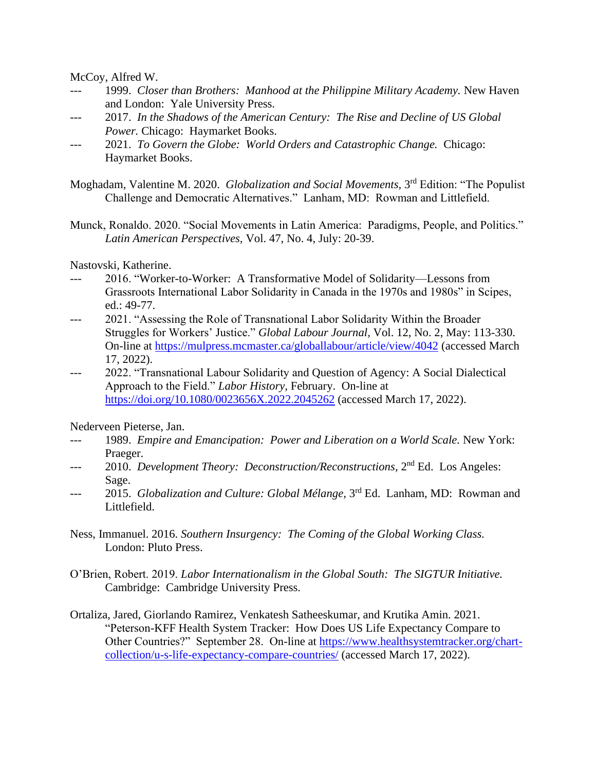McCoy, Alfred W.

- --- 1999. *Closer than Brothers: Manhood at the Philippine Military Academy.* New Haven and London: Yale University Press.
- 2017. In the Shadows of the American Century: The Rise and Decline of US Global *Power.* Chicago: Haymarket Books.
- 2021. *To Govern the Globe: World Orders and Catastrophic Change. Chicago:* Haymarket Books.

Moghadam, Valentine M. 2020. *Globalization and Social Movements*, 3<sup>rd</sup> Edition: "The Populist Challenge and Democratic Alternatives." Lanham, MD: Rowman and Littlefield.

Munck, Ronaldo. 2020. "Social Movements in Latin America: Paradigms, People, and Politics." *Latin American Perspectives,* Vol. 47, No. 4, July: 20-39.

Nastovski, Katherine.

- --- 2016. "Worker-to-Worker: A Transformative Model of Solidarity—Lessons from Grassroots International Labor Solidarity in Canada in the 1970s and 1980s" in Scipes, ed.: 49-77.
- --- 2021. "Assessing the Role of Transnational Labor Solidarity Within the Broader Struggles for Workers' Justice." *Global Labour Journal,* Vol. 12, No. 2, May: 113-330. On-line at<https://mulpress.mcmaster.ca/globallabour/article/view/4042> (accessed March 17, 2022).
- --- 2022. "Transnational Labour Solidarity and Question of Agency: A Social Dialectical Approach to the Field." *Labor History,* February. On-line at <https://doi.org/10.1080/0023656X.2022.2045262> (accessed March 17, 2022).

Nederveen Pieterse, Jan.

- --- 1989. *Empire and Emancipation: Power and Liberation on a World Scale.* New York: Praeger.
- --- 2010. *Development Theory: Deconstruction/Reconstructions*, 2<sup>nd</sup> Ed. Los Angeles: Sage.
- --- 2015. *Globalization and Culture: Global Mélange*, 3<sup>rd</sup> Ed. Lanham, MD: Rowman and Littlefield.
- Ness, Immanuel. 2016. *Southern Insurgency: The Coming of the Global Working Class.* London: Pluto Press.
- O'Brien, Robert. 2019. *Labor Internationalism in the Global South: The SIGTUR Initiative.* Cambridge: Cambridge University Press.
- Ortaliza, Jared, Giorlando Ramirez, Venkatesh Satheeskumar, and Krutika Amin. 2021. "Peterson-KFF Health System Tracker: How Does US Life Expectancy Compare to Other Countries?" September 28. On-line at [https://www.healthsystemtracker.org/chart](https://www.healthsystemtracker.org/chart-collection/u-s-life-expectancy-compare-countries/)[collection/u-s-life-expectancy-compare-countries/](https://www.healthsystemtracker.org/chart-collection/u-s-life-expectancy-compare-countries/) (accessed March 17, 2022).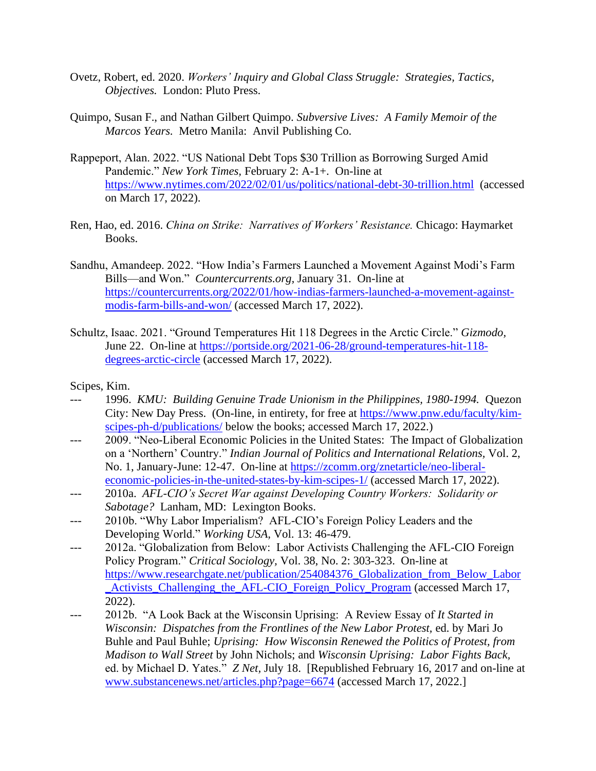- Ovetz, Robert, ed. 2020. *Workers' Inquiry and Global Class Struggle: Strategies, Tactics, Objectives.* London: Pluto Press.
- Quimpo, Susan F., and Nathan Gilbert Quimpo. *Subversive Lives: A Family Memoir of the Marcos Years.* Metro Manila: Anvil Publishing Co.
- Rappeport, Alan. 2022. "US National Debt Tops \$30 Trillion as Borrowing Surged Amid Pandemic." *New York Times,* February 2: A-1+. On-line at <https://www.nytimes.com/2022/02/01/us/politics/national-debt-30-trillion.html> (accessed on March 17, 2022).
- Ren, Hao, ed. 2016. *China on Strike: Narratives of Workers' Resistance.* Chicago: Haymarket Books.
- Sandhu, Amandeep. 2022. "How India's Farmers Launched a Movement Against Modi's Farm Bills—and Won." *Countercurrents.org,* January 31. On-line at [https://countercurrents.org/2022/01/how-indias-farmers-launched-a-movement-against](https://countercurrents.org/2022/01/how-indias-farmers-launched-a-movement-against-modis-farm-bills-and-won/)[modis-farm-bills-and-won/](https://countercurrents.org/2022/01/how-indias-farmers-launched-a-movement-against-modis-farm-bills-and-won/) (accessed March 17, 2022).
- Schultz, Isaac. 2021. "Ground Temperatures Hit 118 Degrees in the Arctic Circle." *Gizmodo,* June 22. On-line at [https://portside.org/2021-06-28/ground-temperatures-hit-118](https://portside.org/2021-06-28/ground-temperatures-hit-118-degrees-arctic-circle) [degrees-arctic-circle](https://portside.org/2021-06-28/ground-temperatures-hit-118-degrees-arctic-circle) (accessed March 17, 2022).

Scipes, Kim.

- 1996. *KMU: Building Genuine Trade Unionism in the Philippines, 1980-1994.* Quezon City: New Day Press. (On-line, in entirety, for free at [https://www.pnw.edu/faculty/kim](https://www.pnw.edu/faculty/kim-scipes-ph-d/publications/)[scipes-ph-d/publications/](https://www.pnw.edu/faculty/kim-scipes-ph-d/publications/) below the books; accessed March 17, 2022.)
- --- 2009. "Neo-Liberal Economic Policies in the United States: The Impact of Globalization on a 'Northern' Country." *Indian Journal of Politics and International Relations,* Vol. 2, No. 1, January-June: 12-47. On-line at [https://zcomm.org/znetarticle/neo-liberal](https://zcomm.org/znetarticle/neo-liberal-economic-policies-in-the-united-states-by-kim-scipes-1/)[economic-policies-in-the-united-states-by-kim-scipes-1/](https://zcomm.org/znetarticle/neo-liberal-economic-policies-in-the-united-states-by-kim-scipes-1/) (accessed March 17, 2022).
- 2010a. *AFL-CIO's Secret War against Developing Country Workers: Solidarity or Sabotage?* Lanham, MD: Lexington Books.
- --- 2010b. "Why Labor Imperialism? AFL-CIO's Foreign Policy Leaders and the Developing World." *Working USA,* Vol. 13: 46-479.
- --- 2012a. "Globalization from Below: Labor Activists Challenging the AFL-CIO Foreign Policy Program." *Critical Sociology,* Vol. 38, No. 2: 303-323. On-line at [https://www.researchgate.net/publication/254084376\\_Globalization\\_from\\_Below\\_Labor](https://www.researchgate.net/publication/254084376_Globalization_from_Below_Labor_Activists_Challenging_the_AFL-CIO_Foreign_Policy_Program) Activists Challenging the AFL-CIO Foreign Policy Program (accessed March 17, 2022).
- --- 2012b. "A Look Back at the Wisconsin Uprising: A Review Essay of *It Started in Wisconsin: Dispatches from the Frontlines of the New Labor Protest,* ed. by Mari Jo Buhle and Paul Buhle; *Uprising: How Wisconsin Renewed the Politics of Protest, from Madison to Wall Street* by John Nichols; and *Wisconsin Uprising: Labor Fights Back,* ed. by Michael D. Yates." *Z Net,* July 18. [Republished February 16, 2017 and on-line at [www.substancenews.net/articles.php?page=6674](http://www.substancenews.net/articles.php?page=6674) (accessed March 17, 2022.]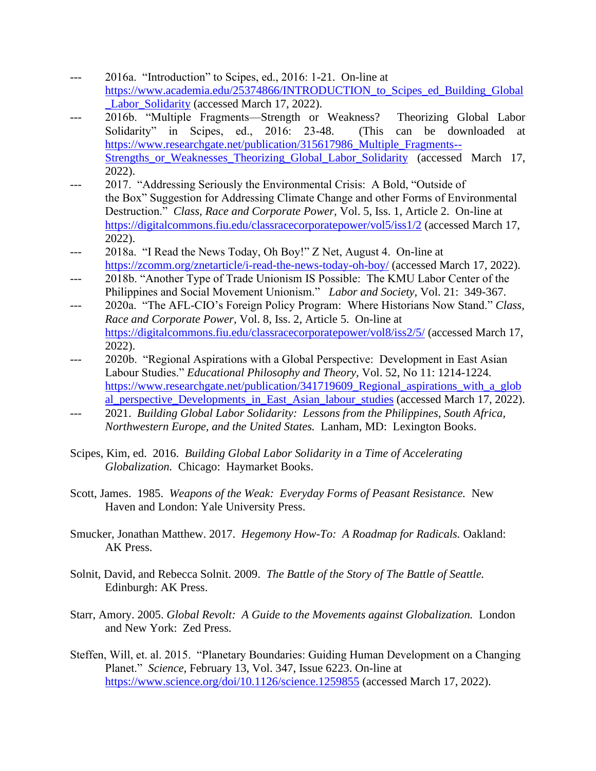- 2016a. "Introduction" to Scipes, ed., 2016: 1-21. On-line at [https://www.academia.edu/25374866/INTRODUCTION\\_to\\_Scipes\\_ed\\_Building\\_Global](https://www.academia.edu/25374866/INTRODUCTION_to_Scipes_ed_Building_Global_Labor_Solidarity) [\\_Labor\\_Solidarity](https://www.academia.edu/25374866/INTRODUCTION_to_Scipes_ed_Building_Global_Labor_Solidarity) (accessed March 17, 2022).
- 2016b. "Multiple Fragments—Strength or Weakness? Theorizing Global Labor Solidarity" in Scipes, ed., 2016: 23-48. (This can be downloaded at [https://www.researchgate.net/publication/315617986\\_Multiple\\_Fragments--](https://www.researchgate.net/publication/315617986_Multiple_Fragments--Strengths_or_Weaknesses_Theorizing_Global_Labor_Solidarity) Strengths or Weaknesses Theorizing Global Labor Solidarity (accessed March 17, 2022).
- --- 2017. "Addressing Seriously the Environmental Crisis: A Bold, "Outside of the Box" Suggestion for Addressing Climate Change and other Forms of Environmental Destruction." *Class, Race and Corporate Power,* Vol. 5, Iss. 1, Article 2. On-line at <https://digitalcommons.fiu.edu/classracecorporatepower/vol5/iss1/2> (accessed March 17, 2022).
- 2018a. "I Read the News Today, Oh Boy!" Z Net, August 4. On-line at <https://zcomm.org/znetarticle/i-read-the-news-today-oh-boy/> (accessed March 17, 2022).
- --- 2018b. "Another Type of Trade Unionism IS Possible: The KMU Labor Center of the Philippines and Social Movement Unionism." *Labor and Society,* Vol. 21: 349-367.
- --- 2020a. "The AFL-CIO's Foreign Policy Program: Where Historians Now Stand." *Class, Race and Corporate Power,* Vol. 8, Iss. 2, Article 5. On-line at <https://digitalcommons.fiu.edu/classracecorporatepower/vol8/iss2/5/> (accessed March 17, 2022).
- 2020b. "Regional Aspirations with a Global Perspective: Development in East Asian Labour Studies." *Educational Philosophy and Theory,* Vol. 52, No 11: 1214-1224. [https://www.researchgate.net/publication/341719609\\_Regional\\_aspirations\\_with\\_a\\_glob](https://www.researchgate.net/publication/341719609_Regional_aspirations_with_a_global_perspective_Developments_in_East_Asian_labour_studies) [al\\_perspective\\_Developments\\_in\\_East\\_Asian\\_labour\\_studies](https://www.researchgate.net/publication/341719609_Regional_aspirations_with_a_global_perspective_Developments_in_East_Asian_labour_studies) (accessed March 17, 2022).
- 2021. *Building Global Labor Solidarity: Lessons from the Philippines, South Africa, Northwestern Europe, and the United States.* Lanham, MD: Lexington Books.
- Scipes, Kim, ed. 2016. *Building Global Labor Solidarity in a Time of Accelerating Globalization.* Chicago: Haymarket Books.
- Scott, James. 1985. *Weapons of the Weak: Everyday Forms of Peasant Resistance.* New Haven and London: Yale University Press.
- Smucker, Jonathan Matthew. 2017. *Hegemony How-To: A Roadmap for Radicals.* Oakland: AK Press.
- Solnit, David, and Rebecca Solnit. 2009. *The Battle of the Story of The Battle of Seattle.* Edinburgh: AK Press.
- Starr, Amory. 2005. *Global Revolt: A Guide to the Movements against Globalization.* London and New York: Zed Press.
- Steffen, Will, et. al. 2015. "Planetary Boundaries: Guiding Human Development on a Changing Planet." *Science,* February 13, Vol. 347, Issue 6223. On-line at <https://www.science.org/doi/10.1126/science.1259855> (accessed March 17, 2022).